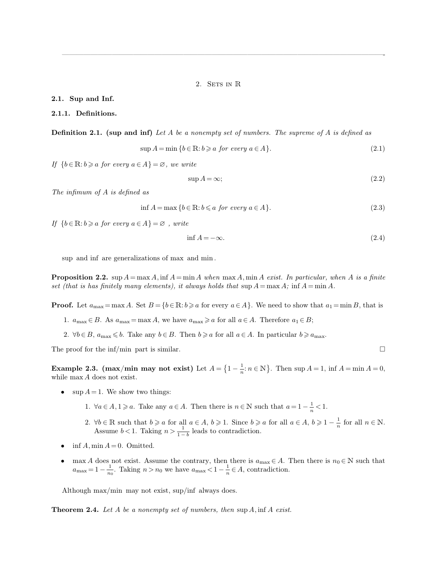2. SETS IN R

—————————————————————————————————————————————-

#### **2.1. Sup and Inf.**

# **2.1.1. Definitions.**

**Definition 2.1. (sup and inf)** *Let* A *be a nonempty set of numbers. The supreme of* A *is defined as*

$$
\sup A = \min \{ b \in \mathbb{R} : b \ge a \text{ for every } a \in A \}. \tag{2.1}
$$

*If*  ${b \in \mathbb{R} : b \geq a \text{ for every } a \in A} = \emptyset$ , we write

$$
\sup A = \infty;\tag{2.2}
$$

*The infimum of* A *is defined as*

$$
\inf A = \max \{ b \in \mathbb{R} : b \leq a \text{ for every } a \in A \}. \tag{2.3}
$$

*If*  ${b \in \mathbb{R}: b \geq a \text{ for every } a \in A} = \emptyset$ , write

$$
\inf A = -\infty. \tag{2.4}
$$

sup and inf are generalizations of max and min .

**Proposition 2.2.** sup  $A = \max A$ ,  $\inf A = \min A$  *when*  $\max A$ ,  $\min A$  *exist. In particular, when* A *is a finite set (that is has finitely many elements), it always holds that*  $\sup A = \max A$ ;  $\inf A = \min A$ .

**Proof.** Let  $a_{\text{max}} = \max A$ . Set  $B = \{b \in \mathbb{R} : b \geqslant a \text{ for every } a \in A\}$ . We need to show that  $a_1 = \min B$ , that is

- 1.  $a_{\text{max}} \in B$ . As  $a_{\text{max}} = \max A$ , we have  $a_{\text{max}} \ge a$  for all  $a \in A$ . Therefore  $a_1 \in B$ ;
- 2.  $\forall b \in B$ ,  $a_{\max} \leq b$ . Take any  $b \in B$ . Then  $b \geq a$  for all  $a \in A$ . In particular  $b \geq a_{\max}$ .

The proof for the inf/min part is similar.  $\square$ 

**Example 2.3.** (max/min may not exist) Let  $A = \left\{1 - \frac{1}{n}\right\}$  $\frac{1}{n}$ :  $n \in \mathbb{N}$ . Then sup  $A = 1$ , inf  $A = \min A = 0$ , while max A does not exist.

- $\sup A = 1$ . We show two things:
	- 1.  $\forall a \in A, 1 \geq a$ . Take any  $a \in A$ . Then there is  $n \in \mathbb{N}$  such that  $a = 1 \frac{1}{n}$  $\frac{1}{n}$  < 1.
	- 2.  $\forall b \in \mathbb{R}$  such that  $b \geq a$  for all  $a \in A$ ,  $b \geq 1$ . Since  $b \geq a$  for all  $a \in A$ ,  $b \geq 1 \frac{1}{n}$  $\frac{1}{n}$  for all  $n \in \mathbb{N}$ . Assume  $b < 1$ . Taking  $n > \frac{1}{1-b}$  leads to contradiction.
- $\inf A$ , min  $A = 0$ . Omitted.
- max A does not exist. Assume the contrary, then there is  $a_{\text{max}} \in A$ . Then there is  $n_0 \in \mathbb{N}$  such that  $a_{\text{max}} = 1 - \frac{1}{n}$  $\frac{1}{n_0}$ . Taking  $n > n_0$  we have  $a_{\text{max}} < 1 - \frac{1}{n}$  $\frac{1}{n} \in A$ , contradiction.

Although max/min may not exist, sup/inf always does.

**Theorem 2.4.** *Let* A *be a nonempty set of numbers, then* sup A, inf A *exist.*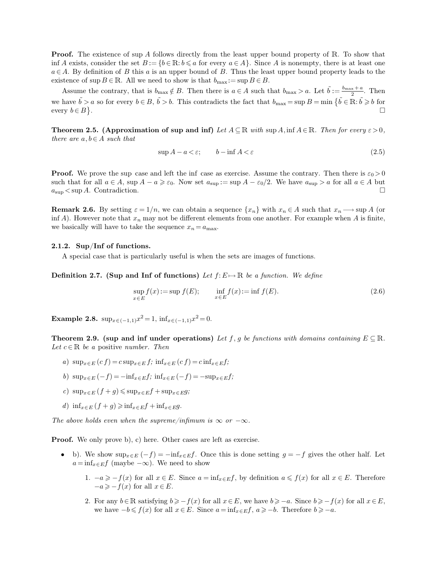**Proof.** The existence of sup A follows directly from the least upper bound property of R. To show that inf A exists, consider the set  $B := \{b \in \mathbb{R} : b \leq a \text{ for every } a \in A\}$ . Since A is nonempty, there is at least one  $a \in A$ . By definition of B this a is an upper bound of B. Thus the least upper bound property leads to the existence of sup  $B \in \mathbb{R}$ . All we need to show is that  $b_{\max} := \sup B \in B$ .

Assume the contrary, that is  $b_{\max} \notin B$ . Then there is  $a \in A$  such that  $b_{\max} > a$ . Let  $\tilde{b} := \frac{b_{\max} + a}{2}$ . Then we have  $\tilde{b} > a$  so for every  $b \in B$ ,  $\tilde{b} > b$ . This contradicts the fact that  $b_{\max} = \sup B = \min \{\tilde{b} \in \mathbb{R} : \tilde{b} \geqslant b \text{ for }$ every  $b \in B$ . The contract of the contract of the contract of the contract of the contract of  $\Box$ 

**Theorem 2.5. (Approximation of sup and inf)** Let  $A \subseteq \mathbb{R}$  with sup  $A$ , inf  $A \in \mathbb{R}$ *. Then for every*  $\varepsilon > 0$ , *there are*  $a, b \in A$  *such that* 

<span id="page-1-0"></span>
$$
\sup A - a < \varepsilon; \qquad b - \inf A < \varepsilon \tag{2.5}
$$

**Proof.** We prove the sup case and left the inf case as exercise. Assume the contrary. Then there is  $\varepsilon_0 > 0$ such that for all  $a \in A$ , sup  $A - a \geq \varepsilon_0$ . Now set  $a_{\sup} := \sup A - \varepsilon_0/2$ . We have  $a_{\sup} > a$  for all  $a \in A$  but  $a_{\rm sup} < \sup A$ . Contradiction.

**Remark 2.6.** By setting  $\varepsilon = 1/n$ , we can obtain a sequence  $\{x_n\}$  with  $x_n \in A$  such that  $x_n \longrightarrow \sup A$  (or inf A). However note that  $x_n$  may not be different elements from one another. For example when A is finite, we basically will have to take the sequence  $x_n = a_{\text{max}}$ .

### **2.1.2. Sup/Inf of functions.**

A special case that is particularly useful is when the sets are images of functions.

**Definition 2.7. (Sup and Inf of functions)** Let  $f: E \mapsto \mathbb{R}$  be a function. We define

$$
\sup_{x \in E} f(x) := \sup f(E); \qquad \inf_{x \in E} f(x) := \inf f(E). \tag{2.6}
$$

**Example 2.8.**  $\sup_{x \in (-1,1)} x^2 = 1$ ,  $\inf_{x \in (-1,1)} x^2 = 0$ .

**Theorem 2.9. (sup and inf under operations)** Let f, g be functions with domains containing  $E \subseteq \mathbb{R}$ . *Let*  $c \in \mathbb{R}$  *be a* positive *number. Then* 

- *a*)  $\sup_{x \in E} (cf) = c \sup_{x \in E} f$ ;  $\inf_{x \in E} (cf) = c \inf_{x \in E} f$ ;
- *b*)  $\sup_{x \in E} (-f) = -\inf_{x \in E} f$ ;  $\inf_{x \in E} (-f) = -\sup_{x \in E} f$ ;
- $c) \sup_{x \in E} (f + g) \leqslant \sup_{x \in E} f + \sup_{x \in E} g$ ;
- *d*) inf<sub> $x \in E$ </sub>  $(f + q) \ge \inf_{x \in E} f + \inf_{x \in E} q$ .

*The above holds even when the supreme/infimum is*  $\infty$  *or*  $-\infty$ *.* 

**Proof.** We only prove b), c) here. Other cases are left as exercise.

- b). We show  $\sup_{x\in E}(-f) = -\inf_{x\in E}f$ . Once this is done setting  $g = -f$  gives the other half. Let  $a = \inf_{x \in E} f$  (maybe  $-\infty$ ). We need to show
	- 1.  $-a \geq -f(x)$  for all  $x \in E$ . Since  $a = \inf_{x \in E} f$ , by definition  $a \leq f(x)$  for all  $x \in E$ . Therefore  $-a \geqslant -f(x)$  for all  $x \in E$ .
	- 2. For any  $b \in \mathbb{R}$  satisfying  $b \geqslant -f(x)$  for all  $x \in E$ , we have  $b \geqslant -a$ . Since  $b \geqslant -f(x)$  for all  $x \in E$ , we have  $-b \leq f(x)$  for all  $x \in E$ . Since  $a = \inf_{x \in E} f, a \geq b$ . Therefore  $b \geq -a$ .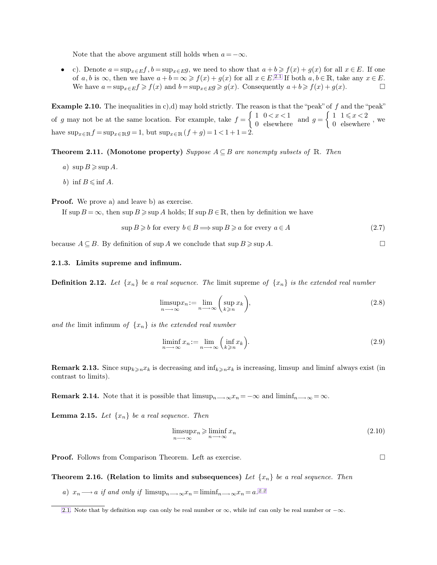<span id="page-2-1"></span>Note that the above argument still holds when  $a = -\infty$ .

• c). Denote  $a = \sup_{x \in E} f$ ,  $b = \sup_{x \in E} g$ , we need to show that  $a + b \geq f(x) + g(x)$  for all  $x \in E$ . If one of a, b is  $\infty$ , then we have  $a + b = \infty \geq f(x) + g(x)$  for all  $x \in E$ .<sup>2.1</sup> If both  $a, b \in \mathbb{R}$ , take any  $x \in E$ . We have  $a = \sup_{x \in E} f \geq f(x)$  and  $b = \sup_{x \in E} g \geq g(x)$ . Consequently  $a + b \geq f(x) + g(x)$ .

**Example 2.10.** The inequalities in c),d) may hold strictly. The reason is that the "peak" of f and the "peak" of g may not be at the same location. For example, take  $f = \begin{cases} 1 & 0 < x < 1 \\ 0 & \text{elsewhere} \end{cases}$  and  $g = \begin{cases} 1 & 1 \leq x < 2 \\ 0 & \text{elsewhere} \end{cases}$ , we have  $\sup_{x \in \mathbb{R}} f = \sup_{x \in \mathbb{R}} g = 1$ , but  $\sup_{x \in \mathbb{R}} (f + g) = 1 < 1 + 1 = 2$ .

**Theorem 2.11.** (Monotone property) *Suppose*  $A \subseteq B$  *are nonempty subsets of* R*. Then* 

- *a*)  $\sup B \ge \sup A$ .
- *b*) inf  $B \le \inf A$ .

**Proof.** We prove a) and leave b) as exercise.

If sup  $B = \infty$ , then sup  $B \ge \sup A$  holds; If sup  $B \in \mathbb{R}$ , then by definition we have

$$
\sup B \geq b \text{ for every } b \in B \Longrightarrow \sup B \geq a \text{ for every } a \in A
$$
\n
$$
(2.7)
$$

because  $A \subseteq B$ . By definition of sup A we conclude that  $\sup B \geq \sup A$ .

## **2.1.3. Limits supreme and infimum.**

**Definition 2.12.** Let  $\{x_n\}$  be a real sequence. The limit supreme of  $\{x_n\}$  is the extended real number

$$
\limsup_{n \to \infty} x_n := \lim_{n \to \infty} \left( \sup_{k \ge n} x_k \right),\tag{2.8}
$$

*and the* limit infimum *of* {xn} *is the extended real number*

$$
\liminf_{n \to \infty} x_n := \lim_{n \to \infty} \left( \inf_{k \geqslant n} x_k \right). \tag{2.9}
$$

**Remark 2.13.** Since  $\sup_{k\geq n}x_k$  is decreasing and  $\inf_{k\geq n}x_k$  is increasing, limsup and liminf always exist (in contrast to limits).

**Remark 2.14.** Note that it is possible that  $\limsup_{n\to\infty}x_n = -\infty$  and  $\liminf_{n\to\infty}x_n = \infty$ .

**Lemma 2.15.** *Let*  $\{x_n\}$  *be a real sequence. Then* 

<span id="page-2-0"></span>
$$
\limsup_{n \to \infty} x_n \ge \liminf_{n \to \infty} x_n \tag{2.10}
$$

**Proof.** Follows from Comparison Theorem. Left as exercise.

**Theorem 2.16.** (Relation to limits and subsequences) Let  $\{x_n\}$  be a real sequence. Then

*a*)  $x_n \longrightarrow a$  *if and only if* limsup $_{n \longrightarrow \infty} x_n = \liminf_{n \longrightarrow \infty} x_n = a$ . <sup>2.2</sup>

[<sup>2.1.</sup>](#page-2-0) Note that by definition sup can only be real number or  $\infty$ , while inf can only be real number or  $-\infty$ .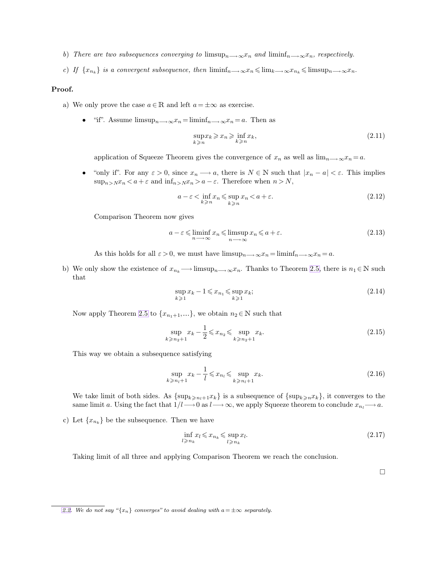- *b*) *There are two subsequences converging to* limsup $_{n\rightarrow\infty}x_n$  *and* liminf $_{n\rightarrow\infty}x_n$ *, respectively.*
- *c*) *If*  $\{x_{n_k}\}$  *is a convergent subsequence, then*  $\liminf_{n\to\infty}x_n \leq \lim_{k\to\infty}x_{n_k} \leq \limsup_{n\to\infty}x_n$ .

#### **Proof.**

- a) We only prove the case  $a \in \mathbb{R}$  and left  $a = \pm \infty$  as exercise.
	- "if". Assume  $\limsup_{n\longrightarrow\infty}x_n=\liminf_{n\longrightarrow\infty}x_n=a$ . Then as

$$
\sup_{k \ge n} x_k \ge x_n \ge \inf_{k \ge n} x_k,\tag{2.11}
$$

application of Squeeze Theorem gives the convergence of  $x_n$  as well as  $\lim_{n\to\infty}x_n=a$ .

"only if". For any  $\varepsilon > 0$ , since  $x_n \longrightarrow a$ , there is  $N \in \mathbb{N}$  such that  $|x_n - a| < \varepsilon$ . This implies  $\sup_{n> N}x_n < a+\varepsilon$  and  $\inf_{n> N}x_n > a-\varepsilon.$  Therefore when  $n>N,$ 

$$
a - \varepsilon < \inf_{k \ge n} x_n \le \sup_{k \ge n} x_n < a + \varepsilon. \tag{2.12}
$$

Comparison Theorem now gives

$$
a - \varepsilon \leq \liminf_{n \to \infty} x_n \leq \limsup_{n \to \infty} x_n \leq a + \varepsilon. \tag{2.13}
$$

As this holds for all  $\varepsilon > 0$ , we must have  $\limsup_{n \to \infty} x_n = \liminf_{n \to \infty} x_n = a$ .

b) We only show the existence of  $x_{n_k} \longrightarrow \limsup_{n \longrightarrow \infty} x_n$ . Thanks to Theorem [2.5,](#page-1-0) there is  $n_1 \in \mathbb{N}$  such that

$$
\sup_{k\geqslant 1} x_k - 1 \leqslant x_{n_1} \leqslant \sup_{k\geqslant 1} x_k; \tag{2.14}
$$

Now apply Theorem [2.5](#page-1-0) to  $\{x_{n_1+1}, ...\}$ , we obtain  $n_2 \in \mathbb{N}$  such that

$$
\sup_{k \ge n_2 + 1} x_k - \frac{1}{2} \le x_{n_2} \le \sup_{k \ge n_2 + 1} x_k.
$$
\n(2.15)

This way we obtain a subsequence satisfying

$$
\sup_{k \ge n_l+1} x_k - \frac{1}{l} \le x_{n_l} \le \sup_{k \ge n_l+1} x_k. \tag{2.16}
$$

We take limit of both sides. As  $\{\sup_{k\geq n_l+1}x_k\}$  is a subsequence of  $\{\sup_{k\geq n}x_k\}$ , it converges to the same limit a. Using the fact that  $1/l \rightarrow 0$  as  $l \rightarrow \infty$ , we apply Squeeze theorem to conclude  $x_{n_l} \rightarrow a$ .

c) Let  $\{x_{n_k}\}\)$  be the subsequence. Then we have

$$
\inf_{l \ge n_k} x_l \le x_{n_k} \le \sup_{l \ge n_k} x_l. \tag{2.17}
$$

Taking limit of all three and applying Comparison Theorem we reach the conclusion.

 $\Box$ 

[<sup>2.2.</sup>](#page-2-1) We do not say " $\{x_n\}$  *converges" to avoid dealing with*  $a = \pm \infty$  *separately.*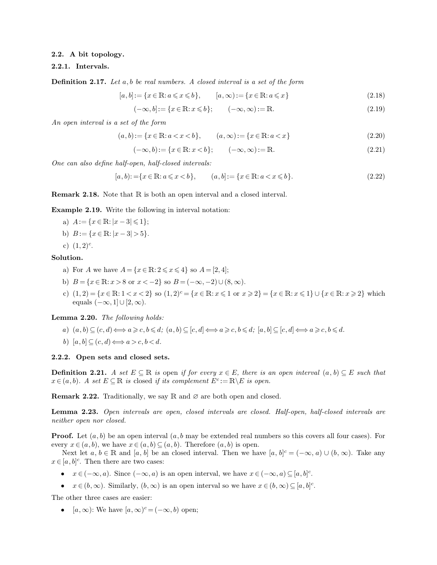## **2.2. A bit topology.**

## **2.2.1. Intervals.**

**Definition 2.17.** *Let* a, b *be real numbers. A closed interval is a set of the form*

$$
[a, b] := \{x \in \mathbb{R} : a \leq x \leq b\}, \qquad [a, \infty) := \{x \in \mathbb{R} : a \leq x\}
$$
\n
$$
(2.18)
$$

$$
(-\infty, b] := \{x \in \mathbb{R} : x \leq b\}; \qquad (-\infty, \infty) := \mathbb{R}.\tag{2.19}
$$

*An open interval is a set of the form*

$$
(a, b) := \{x \in \mathbb{R} : a < x < b\}, \qquad (a, \infty) := \{x \in \mathbb{R} : a < x\} \tag{2.20}
$$

$$
(-\infty, b) := \{x \in \mathbb{R} : x < b\}; \qquad (-\infty, \infty) := \mathbb{R}.\tag{2.21}
$$

*One can also define half-open, half-closed intervals:*

$$
[a, b) := \{x \in \mathbb{R} : a \leq x < b\}, \qquad (a, b] := \{x \in \mathbb{R} : a < x \leq b\}.\tag{2.22}
$$

**Remark 2.18.** Note that R is both an open interval and a closed interval.

**Example 2.19.** Write the following in interval notation:

- a)  $A := \{x \in \mathbb{R} : |x 3| \leq 1\};$
- b)  $B := \{x \in \mathbb{R} : |x 3| > 5\}.$

c)  $(1,2)^c$ .

## **Solution.**

- a) For A we have  $A = \{x \in \mathbb{R} : 2 \le x \le 4\}$  so  $A = [2, 4]$ ;
- b)  $B = \{x \in \mathbb{R} : x > 8 \text{ or } x < -2\}$  so  $B = (-\infty, -2) \cup (8, \infty)$ .
- c)  $(1, 2) = \{x \in \mathbb{R}: 1 < x < 2\}$  so  $(1, 2)^c = \{x \in \mathbb{R}: x \leq 1 \text{ or } x \geq 2\} = \{x \in \mathbb{R}: x \leq 1\} \cup \{x \in \mathbb{R}: x \geq 2\}$  which equals  $(-\infty, 1] \cup [2, \infty)$ .

**Lemma 2.20.** *The following holds:*

- *a*)  $(a, b) \subseteq (c, d) \Longleftrightarrow a \geqslant c, b \leqslant d$ ;  $(a, b) \subseteq [c, d] \Longleftrightarrow a \geqslant c, b \leqslant d$ ;  $[a, b] \subseteq [c, d] \Longleftrightarrow a \geqslant c, b \leqslant d$ .
- *b*)  $[a, b] \subseteq (c, d) \Longleftrightarrow a > c, b < d$ .

#### **2.2.2. Open sets and closed sets.**

**Definition 2.21.** *A set*  $E \subseteq \mathbb{R}$  *is* open *if for every*  $x \in E$ *, there is an open interval*  $(a, b) \subseteq E$  *such that*  $x \in (a, b)$ *. A set*  $E \subseteq \mathbb{R}$  *is* closed *if its complement*  $E^c := \mathbb{R} \backslash E$  *is open.* 

**Remark 2.22.** Traditionally, we say R and  $\varnothing$  are both open and closed.

**Lemma 2.23.** *Open intervals are open, closed intervals are closed. Half-open, half-closed intervals are neither open nor closed.*

**Proof.** Let  $(a, b)$  be an open interval  $(a, b \text{ may be extended real numbers so this covers all four cases). For$ every  $x \in (a, b)$ , we have  $x \in (a, b) \subseteq (a, b)$ . Therefore  $(a, b)$  is open.

Next let  $a, b \in \mathbb{R}$  and  $[a, b]$  be an closed interval. Then we have  $[a, b]$ <sup>c</sup> =  $(-\infty, a) \cup (b, \infty)$ . Take any  $x \in [a, b]^c$ . Then there are two cases:

- $x \in (-\infty, a)$ . Since  $(-\infty, a)$  is an open interval, we have  $x \in (-\infty, a) \subseteq [a, b]^c$ .
- $x \in (b, \infty)$ . Similarly,  $(b, \infty)$  is an open interval so we have  $x \in (b, \infty) \subseteq [a, b]^c$ .

The other three cases are easier:

•  $[a,\infty)$ : We have  $[a,\infty)^c = (-\infty,b)$  open;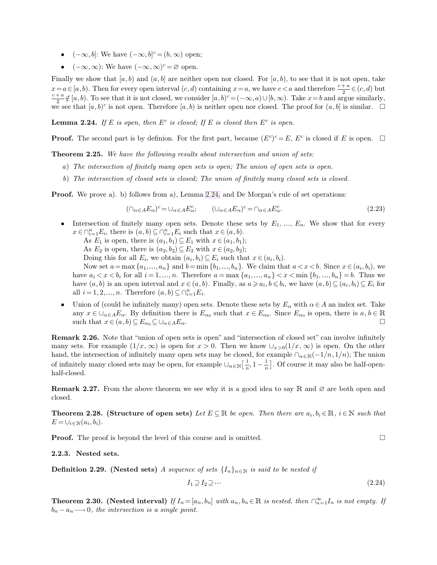- <span id="page-5-0"></span>•  $(-\infty, b]$ : We have  $(-\infty, b]^c = (b, \infty)$  open;
- $(-\infty, \infty)$ : We have  $(-\infty, \infty)^c = \varnothing$  open.

Finally we show that  $[a, b]$  and  $(a, b]$  are neither open nor closed. For  $[a, b)$ , to see that it is not open, take  $x = a \in [a, b)$ . Then for every open interval  $(c, d)$  containing  $x = a$ , we have  $c < a$  and therefore  $\frac{c + a}{2} \in (c, d)$  but  $c + a$  $\frac{1}{2}a \notin [a, b)$ . To see that it is not closed, we consider  $[a, b)^c = (-\infty, a) \cup [b, \infty)$ . Take  $x = b$  and argue similarly, we see that  $[a, b)^c$  is not open. Therefore  $[a, b)$  is neither open nor closed. The proof for  $(a, b]$  is similar.  $\square$ 

**Lemma 2.24.** If E is open, then  $E^c$  is closed; If E is closed then  $E^c$  is open.

**Proof.** The second part is by definion. For the first part, because  $(E^c)^c = E$ ,  $E^c$  is closed if E is open.  $\Box$ 

**Theorem 2.25.** *We have the following results about intersection and union of sets:*

- *a*) *The intersection of finitely many open sets is open; The union of open sets is open.*
- *b*) *The intersection of closed sets is closed; The union of finitely many closed sets is closed.*

**Proof.** We prove a). b) follows from a), Lemma [2.24,](#page-5-0) and De Morgan's rule of set operations:

$$
(\cap_{\alpha \in A} E_{\alpha})^c = \cup_{\alpha \in A} E_{\alpha}^c; \qquad (\cup_{\alpha \in A} E_{\alpha})^c = \cap_{\alpha \in A} E_{\alpha}^c.
$$
\n(2.23)

- Intersection of finitely many open sets. Denote these sets by  $E_1, \ldots, E_n$ . We show that for every  $x \in \bigcap_{i=1}^n E_i$ , there is  $(a, b) \subseteq \bigcap_{i=1}^n E_i$  such that  $x \in (a, b)$ . As  $E_1$  is open, there is  $(a_1, b_1) \subseteq E_1$  with  $x \in (a_1, b_1)$ ; As  $E_2$  is open, there is  $(a_2, b_2) \subseteq E_2$  with  $x \in (a_2, b_2)$ ; Doing this for all  $E_i$ , we obtain  $(a_i, b_i) \subseteq E_i$  such that  $x \in (a_i, b_i)$ . Now set  $a = \max\{a_1, ..., a_n\}$  and  $b = \min\{b_1, ..., b_n\}$ . We claim that  $a < x < b$ . Since  $x \in (a_i, b_i)$ , we have  $a_i < x < b_i$  for all  $i = 1, ..., n$ . Therefore  $a = \max\{a_1, ..., a_n\} < x < \min\{b_1, ..., b_n\} = b$ . Thus we have  $(a, b)$  is an open interval and  $x \in (a, b)$ . Finally, as  $a \geq a_i, b \leq b_i$ , we have  $(a, b) \subseteq (a_i, b_i) \subseteq E_i$  for all  $i = 1, 2, ..., n$ . Therefore  $(a, b) \subseteq \bigcap_{i=1}^{n} E_i$ .
- Union of (could be infinitely many) open sets. Denote these sets by  $E_{\alpha}$  with  $\alpha \in A$  an index set. Take any  $x \in \bigcup_{\alpha \in A} E_{\alpha}$ . By definition there is  $E_{\alpha_0}$  such that  $x \in E_{\alpha_0}$ . Since  $E_{\alpha_0}$  is open, there is  $a, b \in \mathbb{R}$ such that  $x \in (a, b) \subseteq E_{\alpha_0} \subseteq \bigcup_{\alpha \in A} E_{\alpha}$ .

**Remark 2.26.** Note that "union of open sets is open" and "intersection of closed set" can involve infinitely many sets. For example  $(1/x, \infty)$  is open for  $x > 0$ . Then we know  $\cup_{x>0}(1/x, \infty)$  is open. On the other hand, the intersection of infinitely many open sets may be closed, for example  $\cap_{n\in\mathbb{N}}(-1/n, 1/n)$ ; The union of infinitely many closed sets may be open, for example  $\cup_{n\in\mathbb{N}}\left[\frac{1}{n}\right]$  $\frac{1}{n}, 1-\frac{1}{n}$  $\frac{1}{n}$ . Of course it may also be half-openhalf-closed.

**Remark 2.27.** From the above theorem we see why it is a good idea to say R and  $\varnothing$  are both open and closed.

**Theorem 2.28.** (Structure of open sets) *Let*  $E \subseteq \mathbb{R}$  *be open. Then there are*  $a_i, b_i \in \mathbb{R}$ *, i* $\in \mathbb{N}$  *such that*  $E = \bigcup_{i \in \mathbb{N}} (a_i, b_i).$ 

**Proof.** The proof is beyond the level of this course and is omitted.

**2.2.3. Nested sets.**

**Definition 2.29.** (Nested sets) *A sequence of sets*  $\{I_n\}_{n\in\mathbb{N}}$  *is said to be nested if* 

$$
I_1 \supseteq I_2 \supseteq \cdots \tag{2.24}
$$

**Theorem 2.30.** (Nested interval) If  $I_n = [a_n, b_n]$  with  $a_n, b_n \in \mathbb{R}$  is nested, then  $\bigcap_{n=1}^{\infty} I_n$  is not empty. If  $b_n - a_n \longrightarrow 0$ , the intersection is a single point.